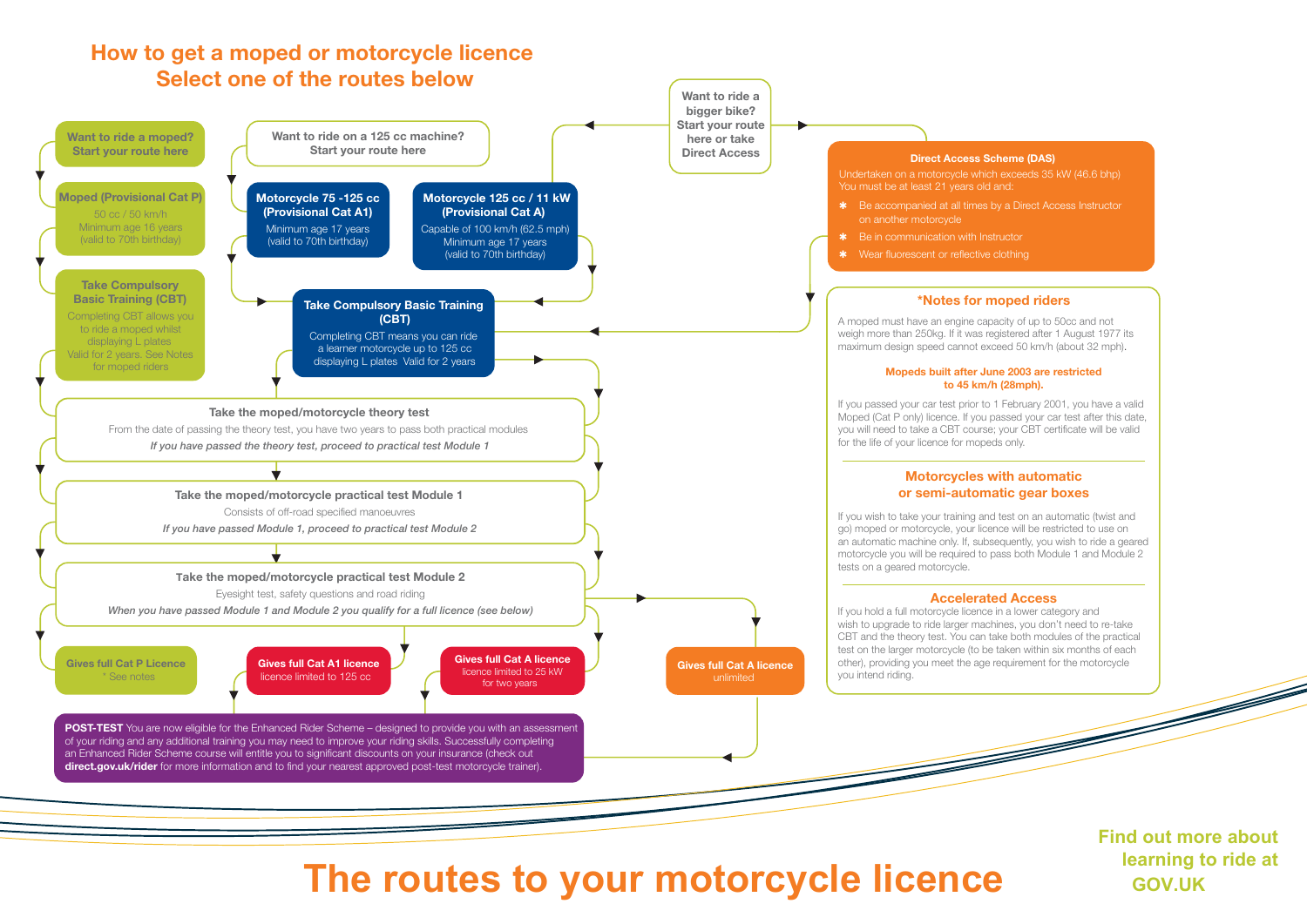#### **How to get a moped or motorcycle licence Select one of the routes below**



**The routes to your motorcycle licence GOV.UK** 

**Find out more about learning to ride at**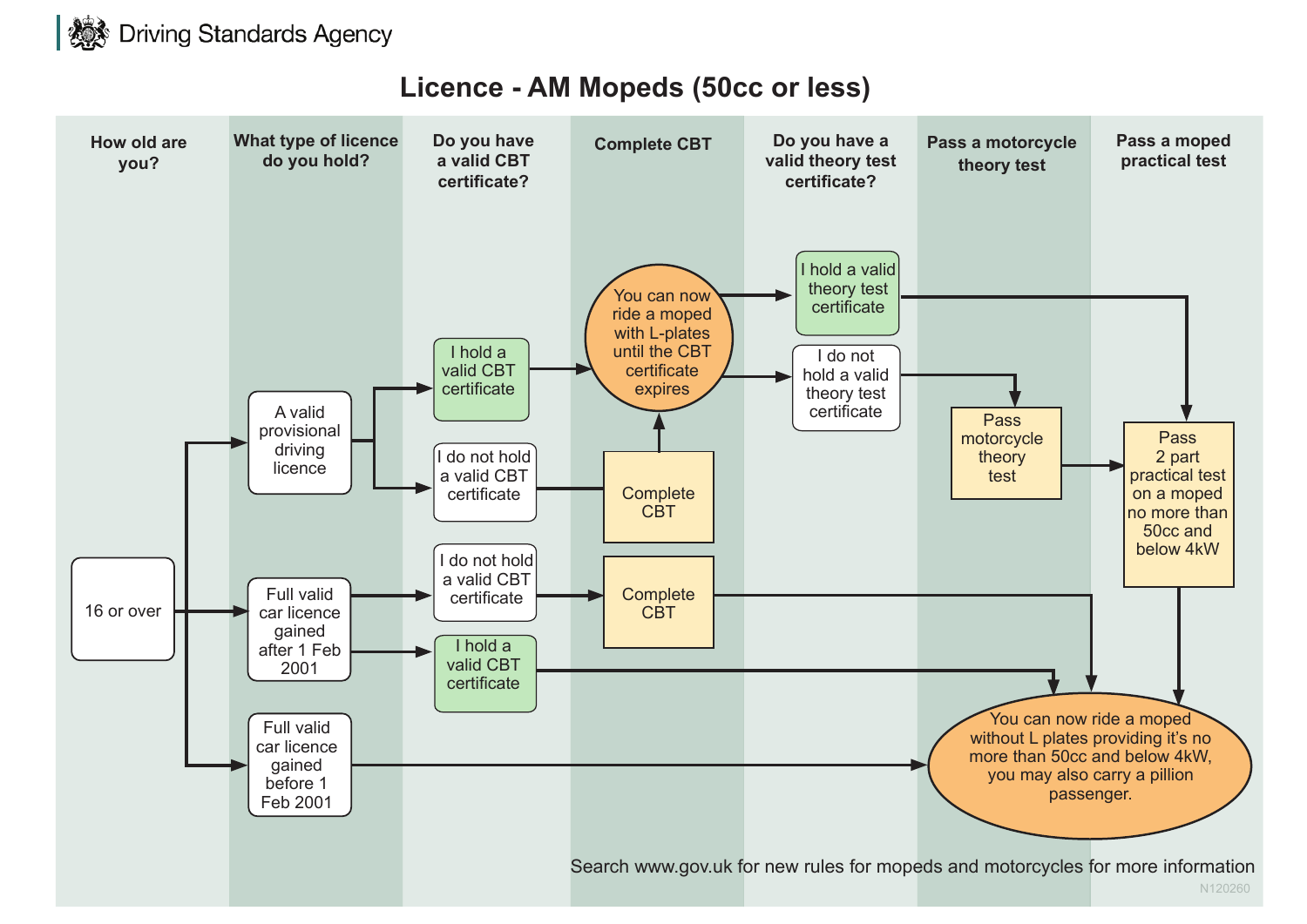

# **Licence - AM Mopeds (50cc or less)**

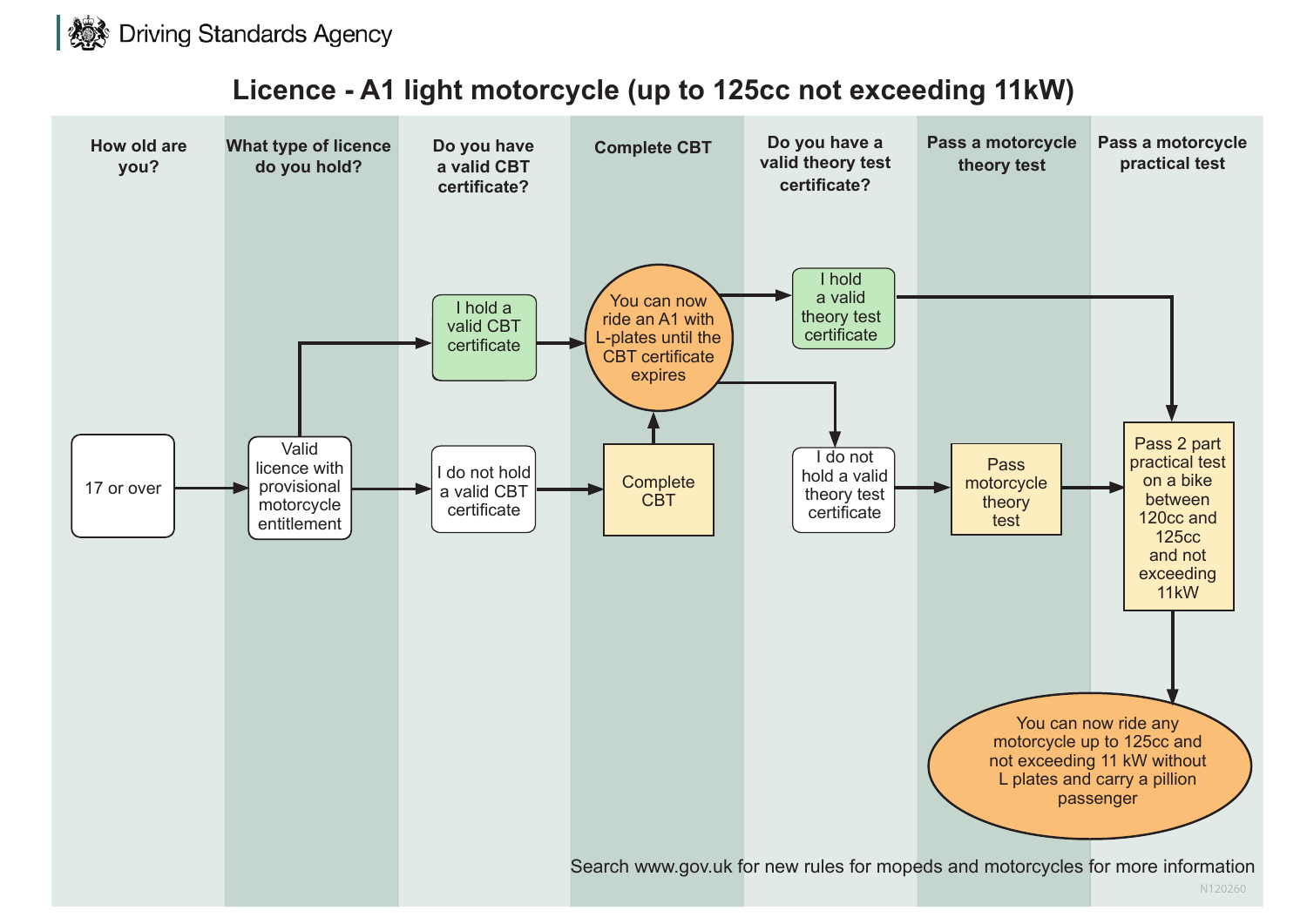

# **Licence - A1 light motorcycle (up to 125cc not exceeding 11kW)**

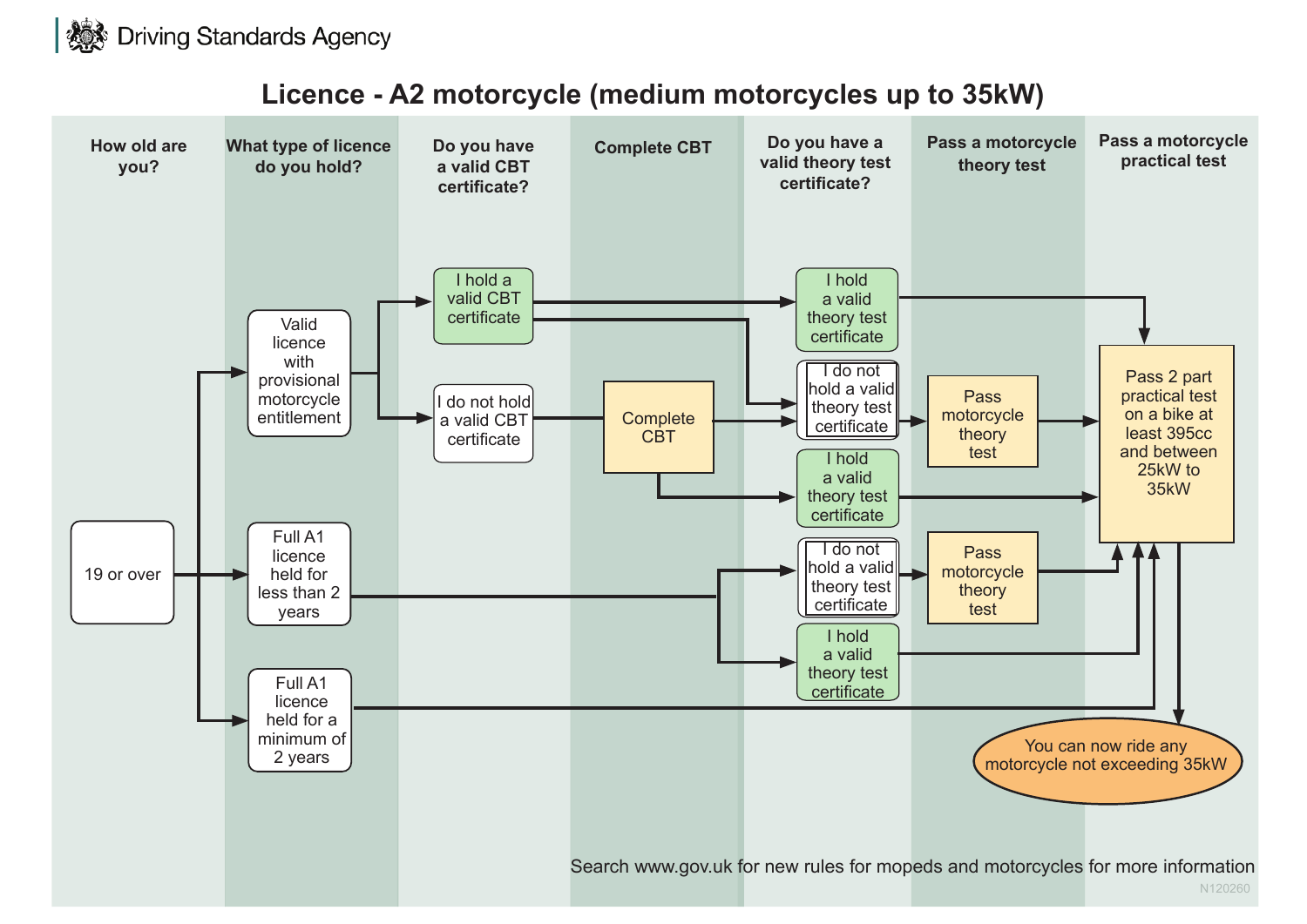

# **Licence - A2 motorcycle (medium motorcycles up to 35kW)**

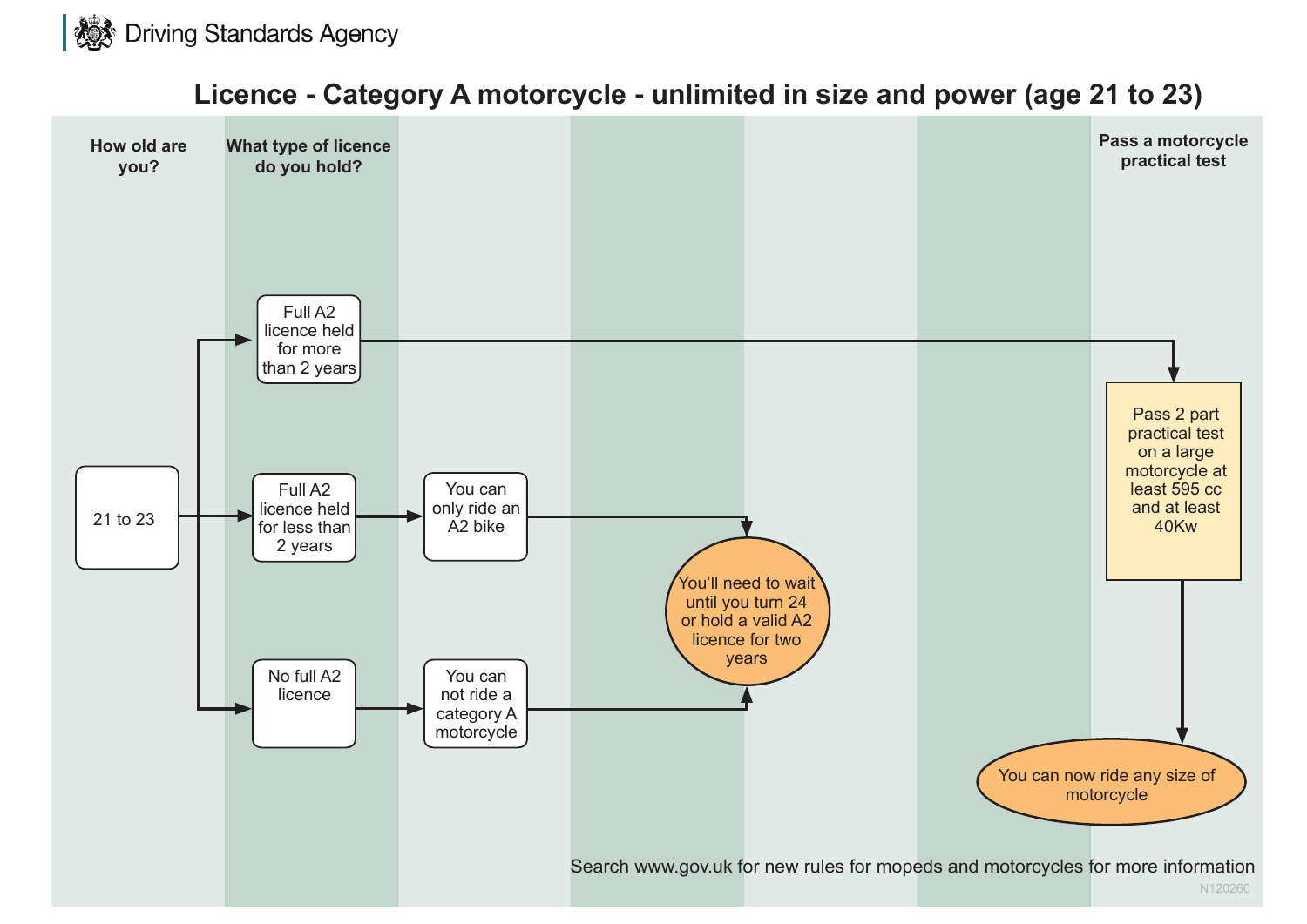